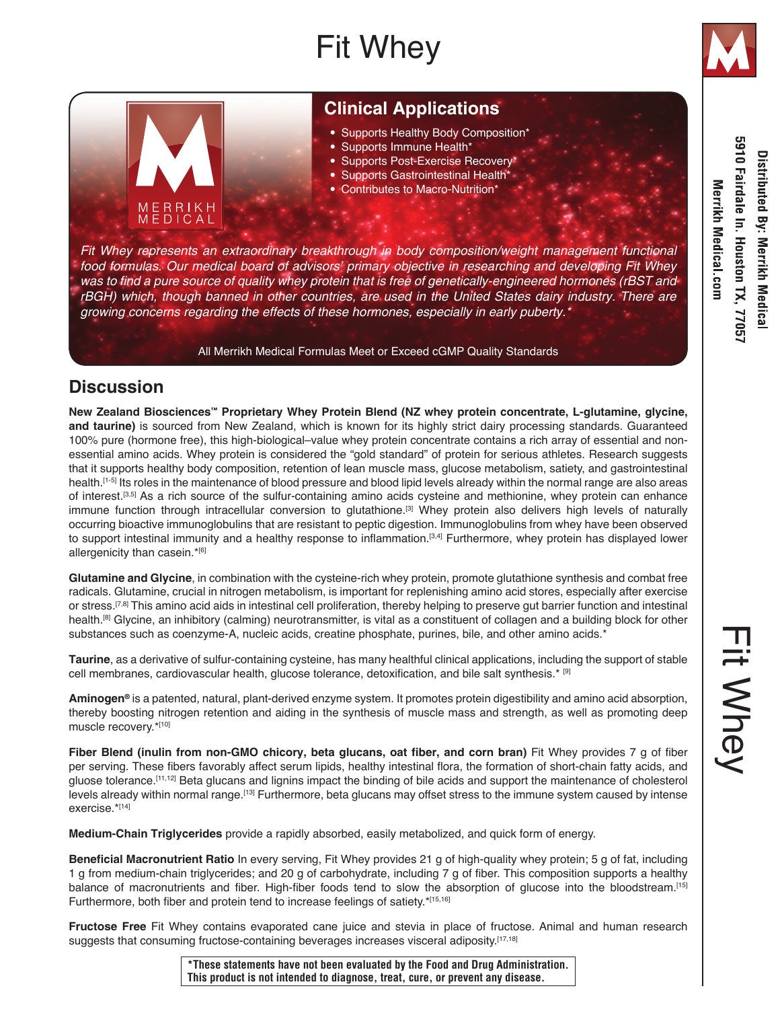# Fit Whey



### **Clinical Applications**

- Supports Healthy Body Composition\*
- Supports Immune Health\*
- Supports Post-Exercise Recovery\*
- Supports Gastrointestinal Health\*
- Contributes to Macro-Nutrition\*

*Fit Whey represents an extraordinary breakthrough in body composition/weight management functional food formulas. Our medical board of advisors' primary objective in researching and developing Fit Whey*  was to find a pure source of quality whey protein that is free of genetically-engineered hormones (rBST and rBGH) which, though banned in other countries, are used in the United States dairy industry. There are growing concerns regarding the effects of these hormones, especially in early puberty.\*

#### All Merrikh Medical Formulas Meet or Exceed cGMP Quality Standards

#### **Discussion**

ERRIKH

**New Zealand Biosciences™ Proprietary Whey Protein Blend (NZ whey protein concentrate, L-glutamine, glycine, and taurine)** is sourced from New Zealand, which is known for its highly strict dairy processing standards. Guaranteed 100% pure (hormone free), this high-biological–value whey protein concentrate contains a rich array of essential and nonessential amino acids. Whey protein is considered the "gold standard" of protein for serious athletes. Research suggests that it supports healthy body composition, retention of lean muscle mass, glucose metabolism, satiety, and gastrointestinal health.[1-5] Its roles in the maintenance of blood pressure and blood lipid levels already within the normal range are also areas of interest.[3,5] As a rich source of the sulfur-containing amino acids cysteine and methionine, whey protein can enhance immune function through intracellular conversion to glutathione.<sup>[3]</sup> Whey protein also delivers high levels of naturally occurring bioactive immunoglobulins that are resistant to peptic digestion. Immunoglobulins from whey have been observed to support intestinal immunity and a healthy response to inflammation.<sup>[3,4]</sup> Furthermore, whey protein has displayed lower allergenicity than casein.\*[6]

**Glutamine and Glycine**, in combination with the cysteine-rich whey protein, promote glutathione synthesis and combat free radicals. Glutamine, crucial in nitrogen metabolism, is important for replenishing amino acid stores, especially after exercise or stress.<sup>[7,8]</sup> This amino acid aids in intestinal cell proliferation, thereby helping to preserve gut barrier function and intestinal health.[8] Glycine, an inhibitory (calming) neurotransmitter, is vital as a constituent of collagen and a building block for other substances such as coenzyme-A, nucleic acids, creatine phosphate, purines, bile, and other amino acids.\*

**Taurine**, as a derivative of sulfur-containing cysteine, has many healthful clinical applications, including the support of stable cell membranes, cardiovascular health, glucose tolerance, detoxification, and bile salt synthesis.\* [9]

**Aminogen®** is a patented, natural, plant-derived enzyme system. It promotes protein digestibility and amino acid absorption, thereby boosting nitrogen retention and aiding in the synthesis of muscle mass and strength, as well as promoting deep muscle recovery.\*[10]

**Fiber Blend (inulin from non-GMO chicory, beta glucans, oat fiber, and corn bran)** Fit Whey provides 7 g of fiber per serving. These fibers favorably affect serum lipids, healthy intestinal flora, the formation of short-chain fatty acids, and gluose tolerance.[11,12] Beta glucans and lignins impact the binding of bile acids and support the maintenance of cholesterol levels already within normal range.[13] Furthermore, beta glucans may offset stress to the immune system caused by intense exercise.\*[14]

**Medium-Chain Triglycerides** provide a rapidly absorbed, easily metabolized, and quick form of energy.

**Beneficial Macronutrient Ratio** In every serving, Fit Whey provides 21 g of high-quality whey protein; 5 g of fat, including 1 g from medium-chain triglycerides; and 20 g of carbohydrate, including 7 g of fiber. This composition supports a healthy balance of macronutrients and fiber. High-fiber foods tend to slow the absorption of glucose into the bloodstream.[15] Furthermore, both fiber and protein tend to increase feelings of satiety.\*[15,16]

**Fructose Free** Fit Whey contains evaporated cane juice and stevia in place of fructose. Animal and human research suggests that consuming fructose-containing beverages increases visceral adiposity.<sup>[17,18]</sup>

> **\*These statements have not been evaluated by the Food and Drug Administration. This product is not intended to diagnose, treat, cure, or prevent any disease.**